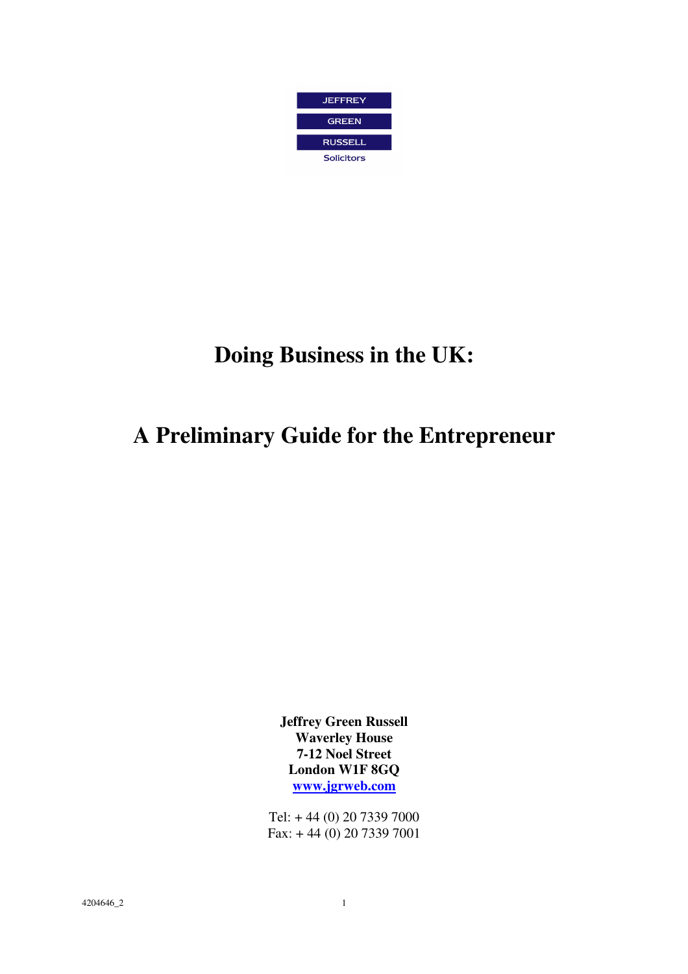

# **Doing Business in the UK:**

# **A Preliminary Guide for the Entrepreneur**

**Jeffrey Green Russell Waverley House 7-12 Noel Street London W1F 8GQ www.jgrweb.com**

Tel: + 44 (0) 20 7339 7000 Fax: + 44 (0) 20 7339 7001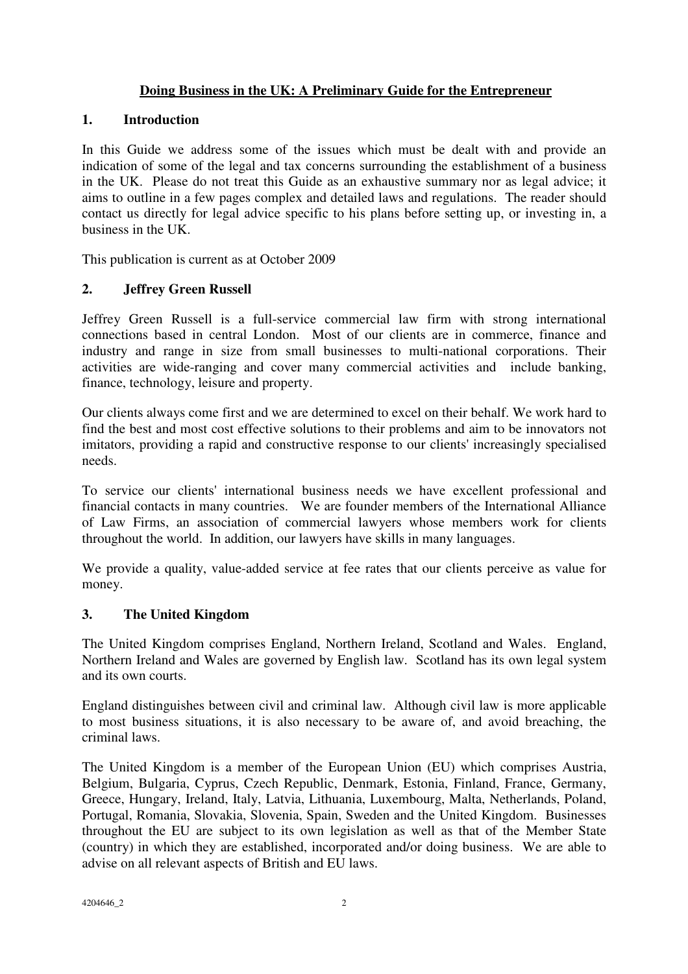## **Doing Business in the UK: A Preliminary Guide for the Entrepreneur**

### **1. Introduction**

In this Guide we address some of the issues which must be dealt with and provide an indication of some of the legal and tax concerns surrounding the establishment of a business in the UK. Please do not treat this Guide as an exhaustive summary nor as legal advice; it aims to outline in a few pages complex and detailed laws and regulations. The reader should contact us directly for legal advice specific to his plans before setting up, or investing in, a business in the UK.

This publication is current as at October 2009

## **2. Jeffrey Green Russell**

Jeffrey Green Russell is a full-service commercial law firm with strong international connections based in central London. Most of our clients are in commerce, finance and industry and range in size from small businesses to multi-national corporations. Their activities are wide-ranging and cover many commercial activities and include banking, finance, technology, leisure and property.

Our clients always come first and we are determined to excel on their behalf. We work hard to find the best and most cost effective solutions to their problems and aim to be innovators not imitators, providing a rapid and constructive response to our clients' increasingly specialised needs.

To service our clients' international business needs we have excellent professional and financial contacts in many countries. We are founder members of the International Alliance of Law Firms, an association of commercial lawyers whose members work for clients throughout the world. In addition, our lawyers have skills in many languages.

We provide a quality, value-added service at fee rates that our clients perceive as value for money.

## **3. The United Kingdom**

The United Kingdom comprises England, Northern Ireland, Scotland and Wales. England, Northern Ireland and Wales are governed by English law. Scotland has its own legal system and its own courts.

England distinguishes between civil and criminal law. Although civil law is more applicable to most business situations, it is also necessary to be aware of, and avoid breaching, the criminal laws.

The United Kingdom is a member of the European Union (EU) which comprises Austria, Belgium, Bulgaria, Cyprus, Czech Republic, Denmark, Estonia, Finland, France, Germany, Greece, Hungary, Ireland, Italy, Latvia, Lithuania, Luxembourg, Malta, Netherlands, Poland, Portugal, Romania, Slovakia, Slovenia, Spain, Sweden and the United Kingdom. Businesses throughout the EU are subject to its own legislation as well as that of the Member State (country) in which they are established, incorporated and/or doing business. We are able to advise on all relevant aspects of British and EU laws.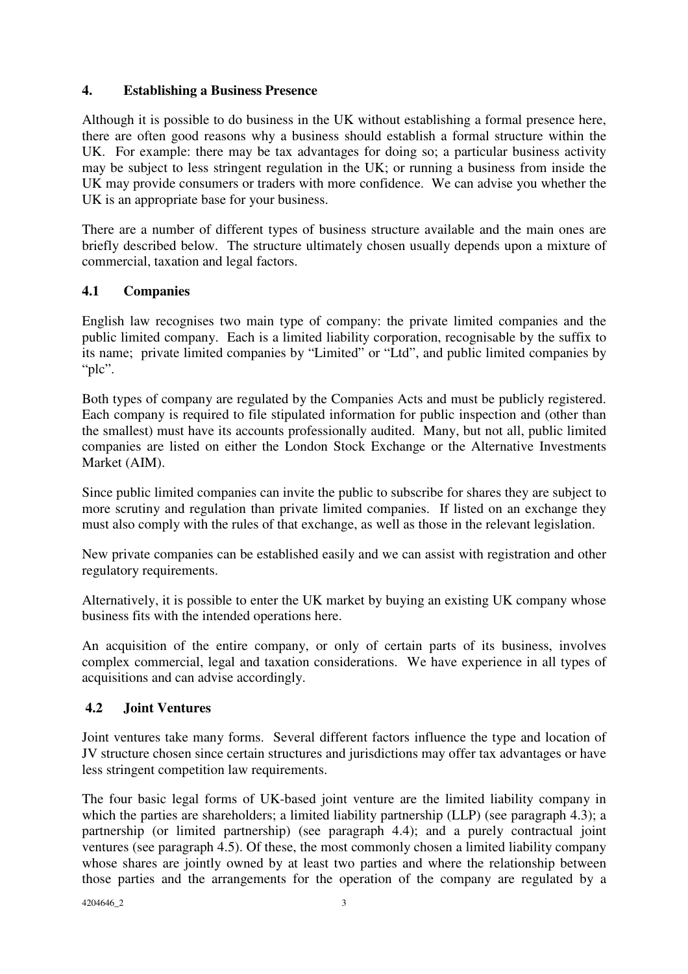## **4. Establishing a Business Presence**

Although it is possible to do business in the UK without establishing a formal presence here, there are often good reasons why a business should establish a formal structure within the UK. For example: there may be tax advantages for doing so; a particular business activity may be subject to less stringent regulation in the UK; or running a business from inside the UK may provide consumers or traders with more confidence. We can advise you whether the UK is an appropriate base for your business.

There are a number of different types of business structure available and the main ones are briefly described below. The structure ultimately chosen usually depends upon a mixture of commercial, taxation and legal factors.

### **4.1 Companies**

English law recognises two main type of company: the private limited companies and the public limited company. Each is a limited liability corporation, recognisable by the suffix to its name; private limited companies by "Limited" or "Ltd", and public limited companies by "plc".

Both types of company are regulated by the Companies Acts and must be publicly registered. Each company is required to file stipulated information for public inspection and (other than the smallest) must have its accounts professionally audited. Many, but not all, public limited companies are listed on either the London Stock Exchange or the Alternative Investments Market (AIM).

Since public limited companies can invite the public to subscribe for shares they are subject to more scrutiny and regulation than private limited companies. If listed on an exchange they must also comply with the rules of that exchange, as well as those in the relevant legislation.

New private companies can be established easily and we can assist with registration and other regulatory requirements.

Alternatively, it is possible to enter the UK market by buying an existing UK company whose business fits with the intended operations here.

An acquisition of the entire company, or only of certain parts of its business, involves complex commercial, legal and taxation considerations. We have experience in all types of acquisitions and can advise accordingly.

## **4.2 Joint Ventures**

Joint ventures take many forms. Several different factors influence the type and location of JV structure chosen since certain structures and jurisdictions may offer tax advantages or have less stringent competition law requirements.

The four basic legal forms of UK-based joint venture are the limited liability company in which the parties are shareholders; a limited liability partnership (LLP) (see paragraph 4.3); a partnership (or limited partnership) (see paragraph 4.4); and a purely contractual joint ventures (see paragraph 4.5). Of these, the most commonly chosen a limited liability company whose shares are jointly owned by at least two parties and where the relationship between those parties and the arrangements for the operation of the company are regulated by a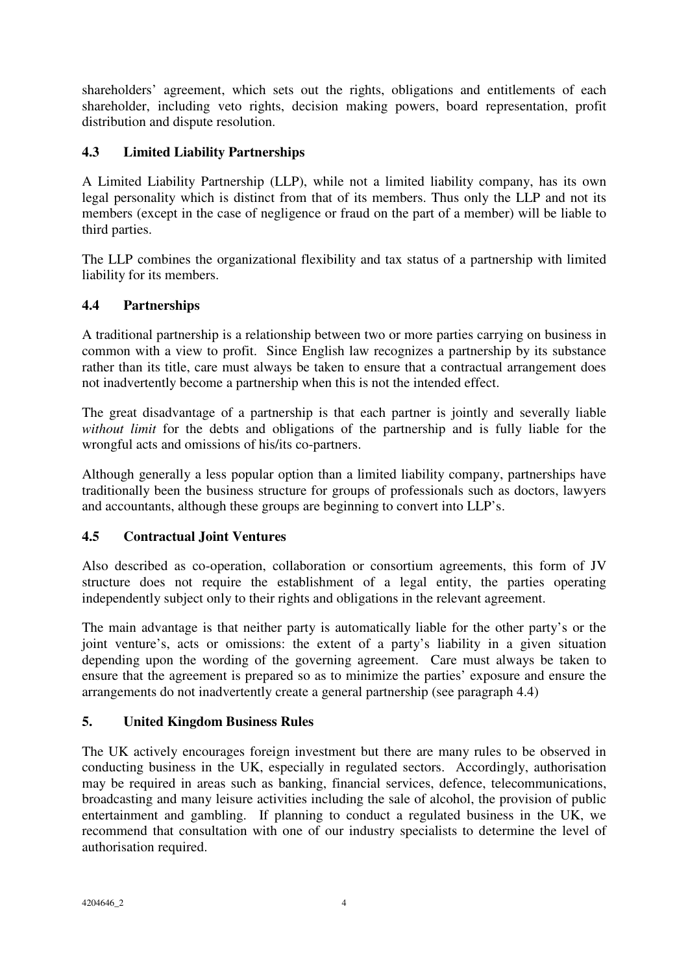shareholders' agreement, which sets out the rights, obligations and entitlements of each shareholder, including veto rights, decision making powers, board representation, profit distribution and dispute resolution.

# **4.3 Limited Liability Partnerships**

A Limited Liability Partnership (LLP), while not a limited liability company, has its own legal personality which is distinct from that of its members. Thus only the LLP and not its members (except in the case of negligence or fraud on the part of a member) will be liable to third parties.

The LLP combines the organizational flexibility and tax status of a partnership with limited liability for its members.

# **4.4 Partnerships**

A traditional partnership is a relationship between two or more parties carrying on business in common with a view to profit. Since English law recognizes a partnership by its substance rather than its title, care must always be taken to ensure that a contractual arrangement does not inadvertently become a partnership when this is not the intended effect.

The great disadvantage of a partnership is that each partner is jointly and severally liable *without limit* for the debts and obligations of the partnership and is fully liable for the wrongful acts and omissions of his/its co-partners.

Although generally a less popular option than a limited liability company, partnerships have traditionally been the business structure for groups of professionals such as doctors, lawyers and accountants, although these groups are beginning to convert into LLP's.

## **4.5 Contractual Joint Ventures**

Also described as co-operation, collaboration or consortium agreements, this form of JV structure does not require the establishment of a legal entity, the parties operating independently subject only to their rights and obligations in the relevant agreement.

The main advantage is that neither party is automatically liable for the other party's or the joint venture's, acts or omissions: the extent of a party's liability in a given situation depending upon the wording of the governing agreement. Care must always be taken to ensure that the agreement is prepared so as to minimize the parties' exposure and ensure the arrangements do not inadvertently create a general partnership (see paragraph 4.4)

## **5. United Kingdom Business Rules**

The UK actively encourages foreign investment but there are many rules to be observed in conducting business in the UK, especially in regulated sectors. Accordingly, authorisation may be required in areas such as banking, financial services, defence, telecommunications, broadcasting and many leisure activities including the sale of alcohol, the provision of public entertainment and gambling. If planning to conduct a regulated business in the UK, we recommend that consultation with one of our industry specialists to determine the level of authorisation required.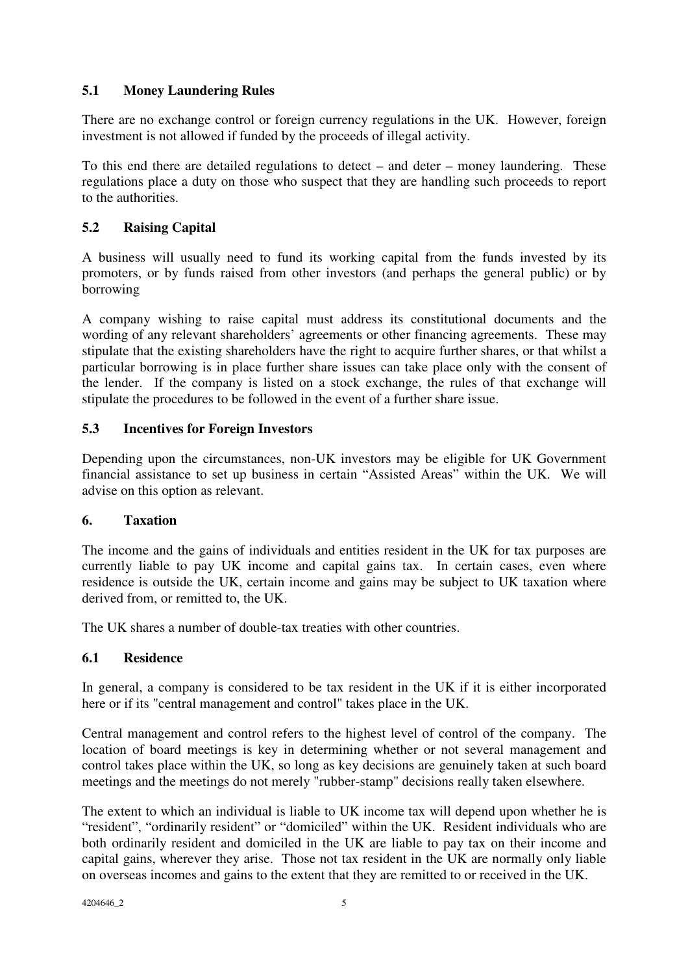# **5.1 Money Laundering Rules**

There are no exchange control or foreign currency regulations in the UK. However, foreign investment is not allowed if funded by the proceeds of illegal activity.

To this end there are detailed regulations to detect – and deter – money laundering. These regulations place a duty on those who suspect that they are handling such proceeds to report to the authorities.

## **5.2 Raising Capital**

A business will usually need to fund its working capital from the funds invested by its promoters, or by funds raised from other investors (and perhaps the general public) or by borrowing

A company wishing to raise capital must address its constitutional documents and the wording of any relevant shareholders' agreements or other financing agreements. These may stipulate that the existing shareholders have the right to acquire further shares, or that whilst a particular borrowing is in place further share issues can take place only with the consent of the lender. If the company is listed on a stock exchange, the rules of that exchange will stipulate the procedures to be followed in the event of a further share issue.

## **5.3 Incentives for Foreign Investors**

Depending upon the circumstances, non-UK investors may be eligible for UK Government financial assistance to set up business in certain "Assisted Areas" within the UK. We will advise on this option as relevant.

## **6. Taxation**

The income and the gains of individuals and entities resident in the UK for tax purposes are currently liable to pay UK income and capital gains tax. In certain cases, even where residence is outside the UK, certain income and gains may be subject to UK taxation where derived from, or remitted to, the UK.

The UK shares a number of double-tax treaties with other countries.

## **6.1 Residence**

In general, a company is considered to be tax resident in the UK if it is either incorporated here or if its "central management and control" takes place in the UK.

Central management and control refers to the highest level of control of the company. The location of board meetings is key in determining whether or not several management and control takes place within the UK, so long as key decisions are genuinely taken at such board meetings and the meetings do not merely "rubber-stamp" decisions really taken elsewhere.

The extent to which an individual is liable to UK income tax will depend upon whether he is "resident", "ordinarily resident" or "domiciled" within the UK. Resident individuals who are both ordinarily resident and domiciled in the UK are liable to pay tax on their income and capital gains, wherever they arise. Those not tax resident in the UK are normally only liable on overseas incomes and gains to the extent that they are remitted to or received in the UK.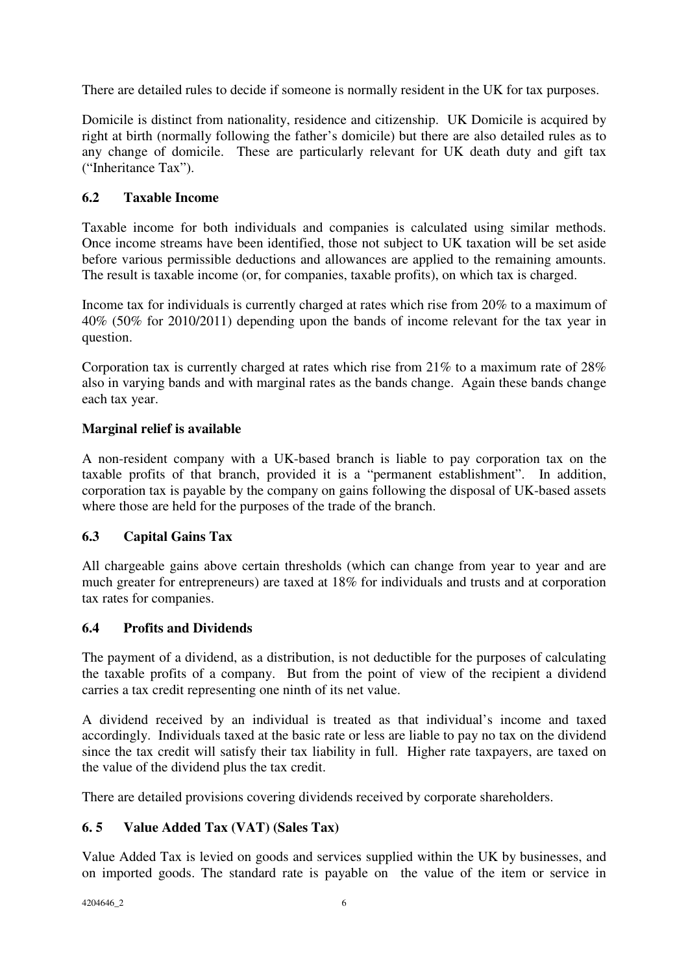There are detailed rules to decide if someone is normally resident in the UK for tax purposes.

Domicile is distinct from nationality, residence and citizenship. UK Domicile is acquired by right at birth (normally following the father's domicile) but there are also detailed rules as to any change of domicile. These are particularly relevant for UK death duty and gift tax ("Inheritance Tax").

# **6.2 Taxable Income**

Taxable income for both individuals and companies is calculated using similar methods. Once income streams have been identified, those not subject to UK taxation will be set aside before various permissible deductions and allowances are applied to the remaining amounts. The result is taxable income (or, for companies, taxable profits), on which tax is charged.

Income tax for individuals is currently charged at rates which rise from 20% to a maximum of 40% (50% for 2010/2011) depending upon the bands of income relevant for the tax year in question.

Corporation tax is currently charged at rates which rise from 21% to a maximum rate of 28% also in varying bands and with marginal rates as the bands change. Again these bands change each tax year.

# **Marginal relief is available**

A non-resident company with a UK-based branch is liable to pay corporation tax on the taxable profits of that branch, provided it is a "permanent establishment". In addition, corporation tax is payable by the company on gains following the disposal of UK-based assets where those are held for the purposes of the trade of the branch.

# **6.3 Capital Gains Tax**

All chargeable gains above certain thresholds (which can change from year to year and are much greater for entrepreneurs) are taxed at 18% for individuals and trusts and at corporation tax rates for companies.

## **6.4 Profits and Dividends**

The payment of a dividend, as a distribution, is not deductible for the purposes of calculating the taxable profits of a company. But from the point of view of the recipient a dividend carries a tax credit representing one ninth of its net value.

A dividend received by an individual is treated as that individual's income and taxed accordingly. Individuals taxed at the basic rate or less are liable to pay no tax on the dividend since the tax credit will satisfy their tax liability in full. Higher rate taxpayers, are taxed on the value of the dividend plus the tax credit.

There are detailed provisions covering dividends received by corporate shareholders.

# **6. 5 Value Added Tax (VAT) (Sales Tax)**

Value Added Tax is levied on goods and services supplied within the UK by businesses, and on imported goods. The standard rate is payable on the value of the item or service in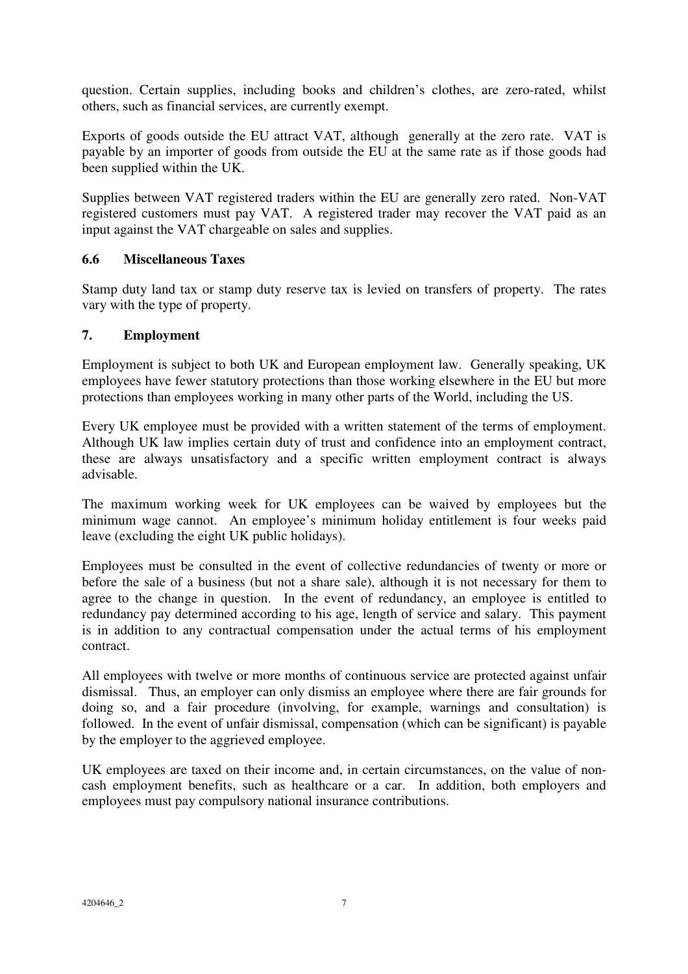question. Certain supplies, including books and children's clothes, are zero-rated, whilst others, such as financial services, are currently exempt.

Exports of goods outside the EU attract VAT, although generally at the zero rate. VAT is payable by an importer of goods from outside the EU at the same rate as if those goods had been supplied within the UK.

Supplies between VAT registered traders within the EU are generally zero rated. Non-VAT registered customers must pay VAT. A registered trader may recover the VAT paid as an input against the VAT chargeable on sales and supplies.

### **6.6 Miscellaneous Taxes**

Stamp duty land tax or stamp duty reserve tax is levied on transfers of property. The rates vary with the type of property.

### **7. Employment**

Employment is subject to both UK and European employment law. Generally speaking, UK employees have fewer statutory protections than those working elsewhere in the EU but more protections than employees working in many other parts of the World, including the US.

Every UK employee must be provided with a written statement of the terms of employment. Although UK law implies certain duty of trust and confidence into an employment contract, these are always unsatisfactory and a specific written employment contract is always advisable.

The maximum working week for UK employees can be waived by employees but the minimum wage cannot. An employee's minimum holiday entitlement is four weeks paid leave (excluding the eight UK public holidays).

Employees must be consulted in the event of collective redundancies of twenty or more or before the sale of a business (but not a share sale), although it is not necessary for them to agree to the change in question. In the event of redundancy, an employee is entitled to redundancy pay determined according to his age, length of service and salary. This payment is in addition to any contractual compensation under the actual terms of his employment contract.

All employees with twelve or more months of continuous service are protected against unfair dismissal. Thus, an employer can only dismiss an employee where there are fair grounds for doing so, and a fair procedure (involving, for example, warnings and consultation) is followed. In the event of unfair dismissal, compensation (which can be significant) is payable by the employer to the aggrieved employee.

UK employees are taxed on their income and, in certain circumstances, on the value of noncash employment benefits, such as healthcare or a car. In addition, both employers and employees must pay compulsory national insurance contributions.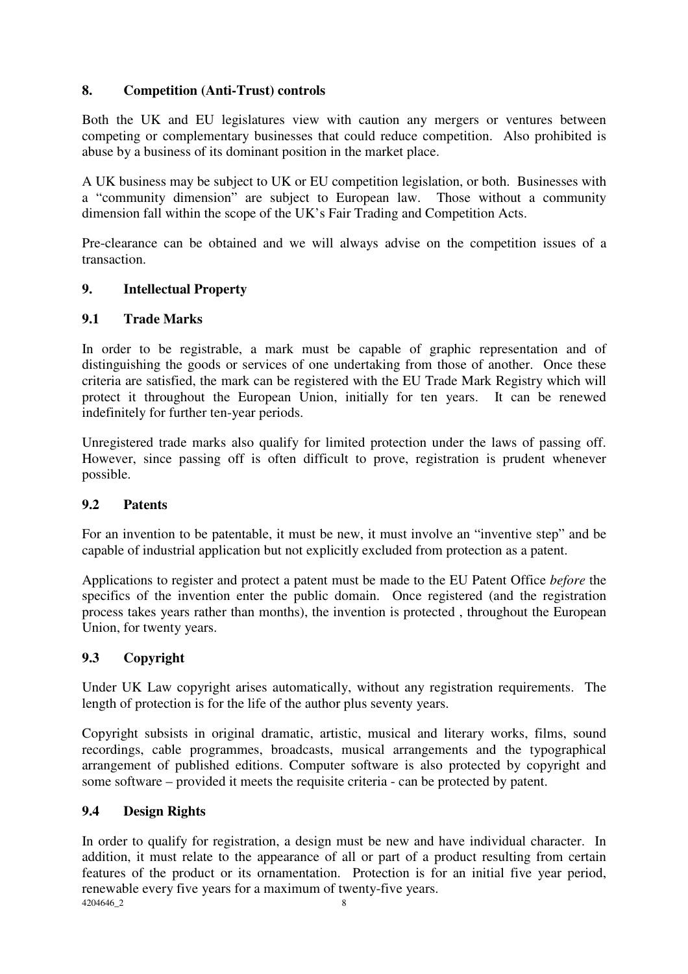## **8. Competition (Anti-Trust) controls**

Both the UK and EU legislatures view with caution any mergers or ventures between competing or complementary businesses that could reduce competition. Also prohibited is abuse by a business of its dominant position in the market place.

A UK business may be subject to UK or EU competition legislation, or both. Businesses with a "community dimension" are subject to European law. Those without a community dimension fall within the scope of the UK's Fair Trading and Competition Acts.

Pre-clearance can be obtained and we will always advise on the competition issues of a transaction.

## **9. Intellectual Property**

## **9.1 Trade Marks**

In order to be registrable, a mark must be capable of graphic representation and of distinguishing the goods or services of one undertaking from those of another. Once these criteria are satisfied, the mark can be registered with the EU Trade Mark Registry which will protect it throughout the European Union, initially for ten years. It can be renewed indefinitely for further ten-year periods.

Unregistered trade marks also qualify for limited protection under the laws of passing off. However, since passing off is often difficult to prove, registration is prudent whenever possible.

## **9.2 Patents**

For an invention to be patentable, it must be new, it must involve an "inventive step" and be capable of industrial application but not explicitly excluded from protection as a patent.

Applications to register and protect a patent must be made to the EU Patent Office *before* the specifics of the invention enter the public domain. Once registered (and the registration process takes years rather than months), the invention is protected , throughout the European Union, for twenty years.

## **9.3 Copyright**

Under UK Law copyright arises automatically, without any registration requirements. The length of protection is for the life of the author plus seventy years.

Copyright subsists in original dramatic, artistic, musical and literary works, films, sound recordings, cable programmes, broadcasts, musical arrangements and the typographical arrangement of published editions. Computer software is also protected by copyright and some software – provided it meets the requisite criteria - can be protected by patent.

## **9.4 Design Rights**

4204646\_2 8 In order to qualify for registration, a design must be new and have individual character. In addition, it must relate to the appearance of all or part of a product resulting from certain features of the product or its ornamentation. Protection is for an initial five year period, renewable every five years for a maximum of twenty-five years.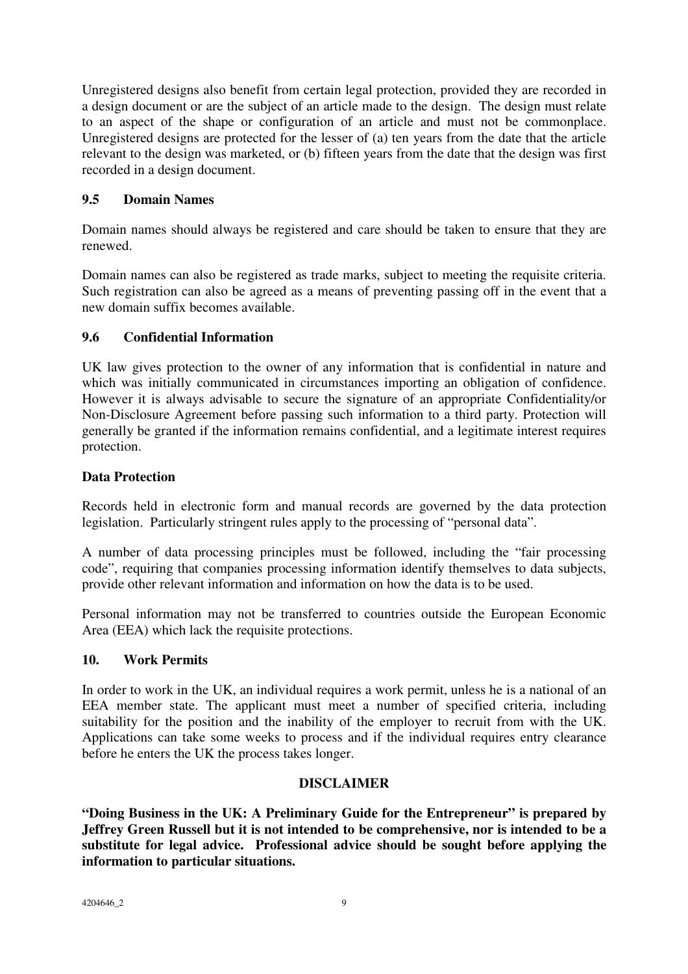Unregistered designs also benefit from certain legal protection, provided they are recorded in a design document or are the subject of an article made to the design. The design must relate to an aspect of the shape or configuration of an article and must not be commonplace. Unregistered designs are protected for the lesser of (a) ten years from the date that the article relevant to the design was marketed, or (b) fifteen years from the date that the design was first recorded in a design document.

## **9.5 Domain Names**

Domain names should always be registered and care should be taken to ensure that they are renewed.

Domain names can also be registered as trade marks, subject to meeting the requisite criteria. Such registration can also be agreed as a means of preventing passing off in the event that a new domain suffix becomes available.

### **9.6 Confidential Information**

UK law gives protection to the owner of any information that is confidential in nature and which was initially communicated in circumstances importing an obligation of confidence. However it is always advisable to secure the signature of an appropriate Confidentiality/or Non-Disclosure Agreement before passing such information to a third party. Protection will generally be granted if the information remains confidential, and a legitimate interest requires protection.

### **Data Protection**

Records held in electronic form and manual records are governed by the data protection legislation. Particularly stringent rules apply to the processing of "personal data".

A number of data processing principles must be followed, including the "fair processing code", requiring that companies processing information identify themselves to data subjects, provide other relevant information and information on how the data is to be used.

Personal information may not be transferred to countries outside the European Economic Area (EEA) which lack the requisite protections.

#### **10. Work Permits**

In order to work in the UK, an individual requires a work permit, unless he is a national of an EEA member state. The applicant must meet a number of specified criteria, including suitability for the position and the inability of the employer to recruit from with the UK. Applications can take some weeks to process and if the individual requires entry clearance before he enters the UK the process takes longer.

#### **DISCLAIMER**

**"Doing Business in the UK: A Preliminary Guide for the Entrepreneur" is prepared by Jeffrey Green Russell but it is not intended to be comprehensive, nor is intended to be a substitute for legal advice. Professional advice should be sought before applying the information to particular situations.**